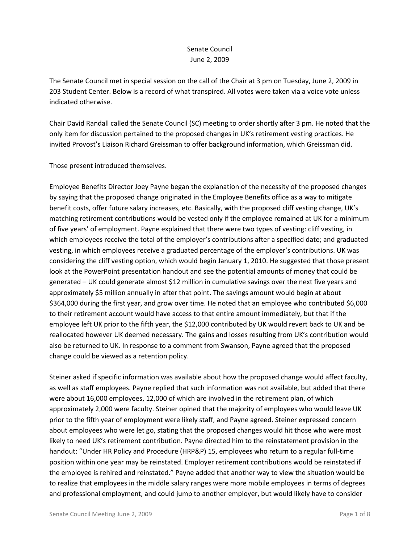## Senate Council June 2, 2009

The Senate Council met in special session on the call of the Chair at 3 pm on Tuesday, June 2, 2009 in 203 Student Center. Below is a record of what transpired. All votes were taken via a voice vote unless indicated otherwise.

Chair David Randall called the Senate Council (SC) meeting to order shortly after 3 pm. He noted that the only item for discussion pertained to the proposed changes in UK's retirement vesting practices. He invited Provost's Liaison Richard Greissman to offer background information, which Greissman did.

Those present introduced themselves.

Employee Benefits Director Joey Payne began the explanation of the necessity of the proposed changes by saying that the proposed change originated in the Employee Benefits office as a way to mitigate benefit costs, offer future salary increases, etc. Basically, with the proposed cliff vesting change, UK's matching retirement contributions would be vested only if the employee remained at UK for a minimum of five years' of employment. Payne explained that there were two types of vesting: cliff vesting, in which employees receive the total of the employer's contributions after a specified date; and graduated vesting, in which employees receive a graduated percentage of the employer's contributions. UK was considering the cliff vesting option, which would begin January 1, 2010. He suggested that those present look at the PowerPoint presentation handout and see the potential amounts of money that could be generated – UK could generate almost \$12 million in cumulative savings over the next five years and approximately \$5 million annually in after that point. The savings amount would begin at about \$364,000 during the first year, and grow over time. He noted that an employee who contributed \$6,000 to their retirement account would have access to that entire amount immediately, but that if the employee left UK prior to the fifth year, the \$12,000 contributed by UK would revert back to UK and be reallocated however UK deemed necessary. The gains and losses resulting from UK's contribution would also be returned to UK. In response to a comment from Swanson, Payne agreed that the proposed change could be viewed as a retention policy.

Steiner asked if specific information was available about how the proposed change would affect faculty, as well as staff employees. Payne replied that such information was not available, but added that there were about 16,000 employees, 12,000 of which are involved in the retirement plan, of which approximately 2,000 were faculty. Steiner opined that the majority of employees who would leave UK prior to the fifth year of employment were likely staff, and Payne agreed. Steiner expressed concern about employees who were let go, stating that the proposed changes would hit those who were most likely to need UK's retirement contribution. Payne directed him to the reinstatement provision in the handout: "Under HR Policy and Procedure (HRP&P) 15, employees who return to a regular full-time position within one year may be reinstated. Employer retirement contributions would be reinstated if the employee is rehired and reinstated." Payne added that another way to view the situation would be to realize that employees in the middle salary ranges were more mobile employees in terms of degrees and professional employment, and could jump to another employer, but would likely have to consider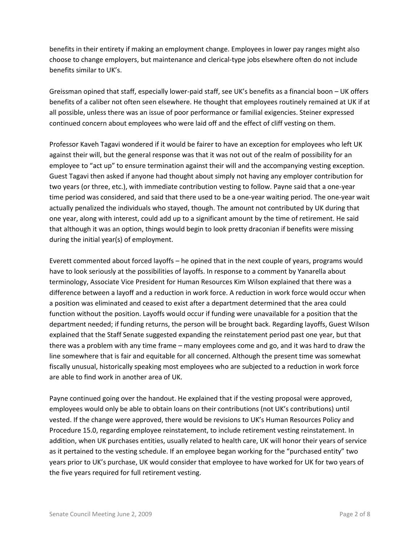benefits in their entirety if making an employment change. Employees in lower pay ranges might also choose to change employers, but maintenance and clerical-type jobs elsewhere often do not include benefits similar to UK's.

Greissman opined that staff, especially lower-paid staff, see UK's benefits as a financial boon – UK offers benefits of a caliber not often seen elsewhere. He thought that employees routinely remained at UK if at all possible, unless there was an issue of poor performance or familial exigencies. Steiner expressed continued concern about employees who were laid off and the effect of cliff vesting on them.

Professor Kaveh Tagavi wondered if it would be fairer to have an exception for employees who left UK against their will, but the general response was that it was not out of the realm of possibility for an employee to "act up" to ensure termination against their will and the accompanying vesting exception. Guest Tagavi then asked if anyone had thought about simply not having any employer contribution for two years (or three, etc.), with immediate contribution vesting to follow. Payne said that a one-year time period was considered, and said that there used to be a one-year waiting period. The one-year wait actually penalized the individuals who stayed, though. The amount not contributed by UK during that one year, along with interest, could add up to a significant amount by the time of retirement. He said that although it was an option, things would begin to look pretty draconian if benefits were missing during the initial year(s) of employment.

Everett commented about forced layoffs – he opined that in the next couple of years, programs would have to look seriously at the possibilities of layoffs. In response to a comment by Yanarella about terminology, Associate Vice President for Human Resources Kim Wilson explained that there was a difference between a layoff and a reduction in work force. A reduction in work force would occur when a position was eliminated and ceased to exist after a department determined that the area could function without the position. Layoffs would occur if funding were unavailable for a position that the department needed; if funding returns, the person will be brought back. Regarding layoffs, Guest Wilson explained that the Staff Senate suggested expanding the reinstatement period past one year, but that there was a problem with any time frame – many employees come and go, and it was hard to draw the line somewhere that is fair and equitable for all concerned. Although the present time was somewhat fiscally unusual, historically speaking most employees who are subjected to a reduction in work force are able to find work in another area of UK.

Payne continued going over the handout. He explained that if the vesting proposal were approved, employees would only be able to obtain loans on their contributions (not UK's contributions) until vested. If the change were approved, there would be revisions to UK's Human Resources Policy and Procedure 15.0, regarding employee reinstatement, to include retirement vesting reinstatement. In addition, when UK purchases entities, usually related to health care, UK will honor their years of service as it pertained to the vesting schedule. If an employee began working for the "purchased entity" two years prior to UK's purchase, UK would consider that employee to have worked for UK for two years of the five years required for full retirement vesting.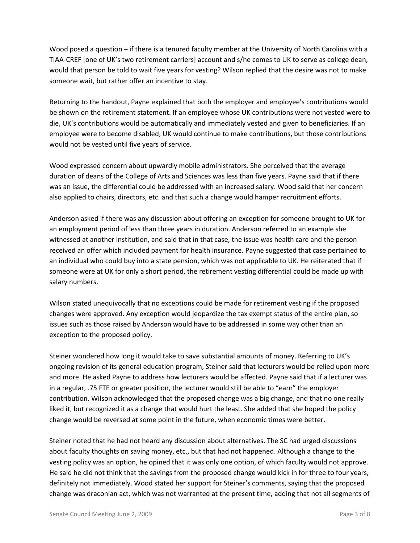Wood posed a question – if there is a tenured faculty member at the University of North Carolina with a TIAA-CREF (one of UK's two retirement carriers) account and s/he comes to UK to serve as college dean, would that person be told to wait five years for vesting? Wilson replied that the desire was not to make someone wait, but rather offer an incentive to stay.

Returning to the handout, Payne explained that both the employer and employee's contributions would be shown on the retirement statement. If an employee whose UK contributions were not vested were to die, UK's contributions would be automatically and immediately vested and given to beneficiaries. If an employee were to become disabled, UK would continue to make contributions, but those contributions would not be vested until five years of service.

Wood expressed concern about upwardly mobile administrators. She perceived that the average duration of deans of the College of Arts and Sciences was less than five years. Payne said that if there was an issue, the differential could be addressed with an increased salary. Wood said that her concern also applied to chairs, directors, etc. and that such a change would hamper recruitment efforts.

Anderson asked if there was any discussion about offering an exception for someone brought to UK for an employment period of less than three years in duration. Anderson referred to an example she witnessed at another institution, and said that in that case, the issue was health care and the person received an offer which included payment for health insurance. Payne suggested that case pertained to an individual who could buy into a state pension, which was not applicable to UK. He reiterated that if someone were at UK for only a short period, the retirement vesting differential could be made up with salary numbers.

Wilson stated unequivocally that no exceptions could be made for retirement vesting if the proposed changes were approved. Any exception would jeopardize the tax exempt status of the entire plan, so issues such as those raised by Anderson would have to be addressed in some way other than an exception to the proposed policy.

Steiner wondered how long it would take to save substantial amounts of money. Referring to UK's ongoing revision of its general education program, Steiner said that lecturers would be relied upon more and more. He asked Payne to address how lecturers would be affected. Payne said that if a lecturer was in a regular, .75 FTE or greater position, the lecturer would still be able to "earn" the employer contribution. Wilson acknowledged that the proposed change was a big change, and that no one really liked it, but recognized it as a change that would hurt the least. She added that she hoped the policy change would be reversed at some point in the future, when economic times were better.

Steiner noted that he had not heard any discussion about alternatives. The SC had urged discussions about faculty thoughts on saving money, etc., but that had not happened. Although a change to the vesting policy was an option, he opined that it was only one option, of which faculty would not approve. He said he did not think that the savings from the proposed change would kick in for three to four years, definitely not immediately. Wood stated her support for Steiner's comments, saying that the proposed change was draconian act, which was not warranted at the present time, adding that not all segments of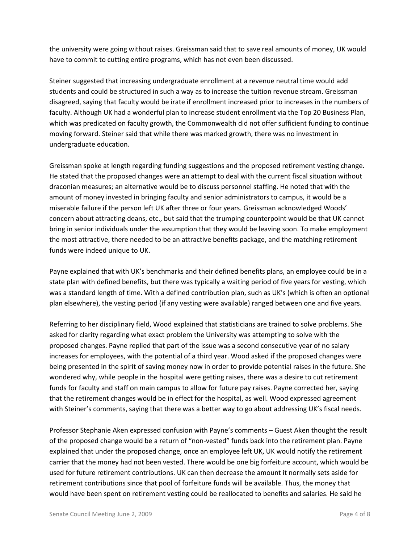the university were going without raises. Greissman said that to save real amounts of money, UK would have to commit to cutting entire programs, which has not even been discussed.

Steiner suggested that increasing undergraduate enrollment at a revenue neutral time would add students and could be structured in such a way as to increase the tuition revenue stream. Greissman disagreed, saying that faculty would be irate if enrollment increased prior to increases in the numbers of faculty. Although UK had a wonderful plan to increase student enrollment via the Top 20 Business Plan, which was predicated on faculty growth, the Commonwealth did not offer sufficient funding to continue moving forward. Steiner said that while there was marked growth, there was no investment in undergraduate education.

Greissman spoke at length regarding funding suggestions and the proposed retirement vesting change. He stated that the proposed changes were an attempt to deal with the current fiscal situation without draconian measures; an alternative would be to discuss personnel staffing. He noted that with the amount of money invested in bringing faculty and senior administrators to campus, it would be a miserable failure if the person left UK after three or four years. Greissman acknowledged Woods' concern about attracting deans, etc., but said that the trumping counterpoint would be that UK cannot bring in senior individuals under the assumption that they would be leaving soon. To make employment the most attractive, there needed to be an attractive benefits package, and the matching retirement funds were indeed unique to UK.

Payne explained that with UK's benchmarks and their defined benefits plans, an employee could be in a state plan with defined benefits, but there was typically a waiting period of five years for vesting, which was a standard length of time. With a defined contribution plan, such as UK's (which is often an optional plan elsewhere), the vesting period (if any vesting were available) ranged between one and five years.

Referring to her disciplinary field, Wood explained that statisticians are trained to solve problems. She asked for clarity regarding what exact problem the University was attempting to solve with the proposed changes. Payne replied that part of the issue was a second consecutive year of no salary increases for employees, with the potential of a third year. Wood asked if the proposed changes were being presented in the spirit of saving money now in order to provide potential raises in the future. She wondered why, while people in the hospital were getting raises, there was a desire to cut retirement funds for faculty and staff on main campus to allow for future pay raises. Payne corrected her, saying that the retirement changes would be in effect for the hospital, as well. Wood expressed agreement with Steiner's comments, saying that there was a better way to go about addressing UK's fiscal needs.

Professor Stephanie Aken expressed confusion with Payne's comments – Guest Aken thought the result of the proposed change would be a return of "non-vested" funds back into the retirement plan. Payne explained that under the proposed change, once an employee left UK, UK would notify the retirement carrier that the money had not been vested. There would be one big forfeiture account, which would be used for future retirement contributions. UK can then decrease the amount it normally sets aside for retirement contributions since that pool of forfeiture funds will be available. Thus, the money that would have been spent on retirement vesting could be reallocated to benefits and salaries. He said he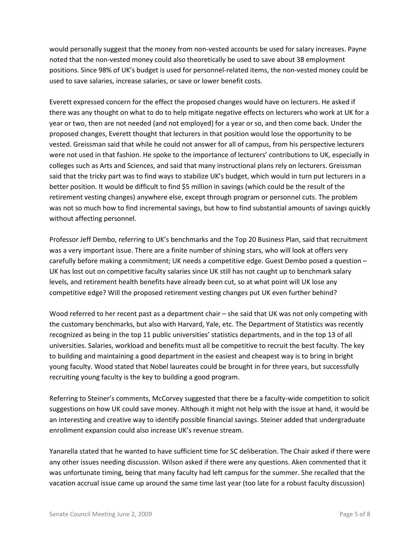would personally suggest that the money from non-vested accounts be used for salary increases. Payne noted that the non-vested money could also theoretically be used to save about 38 employment positions. Since 98% of UK's budget is used for personnel-related items, the non-vested money could be used to save salaries, increase salaries, or save or lower benefit costs.

Everett expressed concern for the effect the proposed changes would have on lecturers. He asked if there was any thought on what to do to help mitigate negative effects on lecturers who work at UK for a year or two, then are not needed (and not employed) for a year or so, and then come back. Under the proposed changes, Everett thought that lecturers in that position would lose the opportunity to be vested. Greissman said that while he could not answer for all of campus, from his perspective lecturers were not used in that fashion. He spoke to the importance of lecturers' contributions to UK, especially in colleges such as Arts and Sciences, and said that many instructional plans rely on lecturers. Greissman said that the tricky part was to find ways to stabilize UK's budget, which would in turn put lecturers in a better position. It would be difficult to find \$5 million in savings (which could be the result of the retirement vesting changes) anywhere else, except through program or personnel cuts. The problem was not so much how to find incremental savings, but how to find substantial amounts of savings quickly without affecting personnel.

Professor Jeff Dembo, referring to UK's benchmarks and the Top 20 Business Plan, said that recruitment was a very important issue. There are a finite number of shining stars, who will look at offers very carefully before making a commitment; UK needs a competitive edge. Guest Dembo posed a question – UK has lost out on competitive faculty salaries since UK still has not caught up to benchmark salary levels, and retirement health benefits have already been cut, so at what point will UK lose any competitive edge? Will the proposed retirement vesting changes put UK even further behind?

Wood referred to her recent past as a department chair – she said that UK was not only competing with the customary benchmarks, but also with Harvard, Yale, etc. The Department of Statistics was recently recognized as being in the top 11 public universities' statistics departments, and in the top 13 of all universities. Salaries, workload and benefits must all be competitive to recruit the best faculty. The key to building and maintaining a good department in the easiest and cheapest way is to bring in bright young faculty. Wood stated that Nobel laureates could be brought in for three years, but successfully recruiting young faculty is the key to building a good program.

Referring to Steiner's comments, McCorvey suggested that there be a faculty-wide competition to solicit suggestions on how UK could save money. Although it might not help with the issue at hand, it would be an interesting and creative way to identify possible financial savings. Steiner added that undergraduate enrollment expansion could also increase UK's revenue stream.

Yanarella stated that he wanted to have sufficient time for SC deliberation. The Chair asked if there were any other issues needing discussion. Wilson asked if there were any questions. Aken commented that it was unfortunate timing, being that many faculty had left campus for the summer. She recalled that the vacation accrual issue came up around the same time last year (too late for a robust faculty discussion)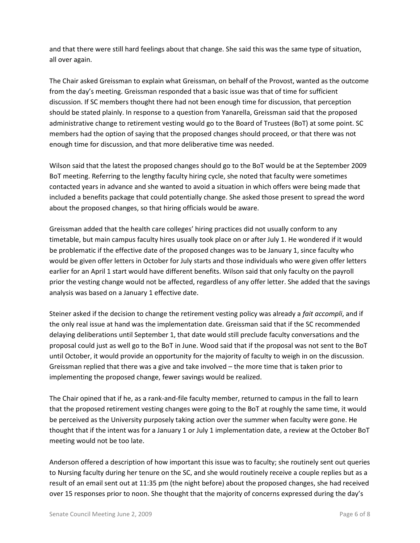and that there were still hard feelings about that change. She said this was the same type of situation, all over again.

The Chair asked Greissman to explain what Greissman, on behalf of the Provost, wanted as the outcome from the day's meeting. Greissman responded that a basic issue was that of time for sufficient discussion. If SC members thought there had not been enough time for discussion, that perception should be stated plainly. In response to a question from Yanarella, Greissman said that the proposed administrative change to retirement vesting would go to the Board of Trustees (BoT) at some point. SC members had the option of saying that the proposed changes should proceed, or that there was not enough time for discussion, and that more deliberative time was needed.

Wilson said that the latest the proposed changes should go to the BoT would be at the September 2009 BoT meeting. Referring to the lengthy faculty hiring cycle, she noted that faculty were sometimes contacted years in advance and she wanted to avoid a situation in which offers were being made that included a benefits package that could potentially change. She asked those present to spread the word about the proposed changes, so that hiring officials would be aware.

Greissman added that the health care colleges' hiring practices did not usually conform to any timetable, but main campus faculty hires usually took place on or after July 1. He wondered if it would be problematic if the effective date of the proposed changes was to be January 1, since faculty who would be given offer letters in October for July starts and those individuals who were given offer letters earlier for an April 1 start would have different benefits. Wilson said that only faculty on the payroll prior the vesting change would not be affected, regardless of any offer letter. She added that the savings analysis was based on a January 1 effective date.

Steiner asked if the decision to change the retirement vesting policy was already a *fait accompli*, and if the only real issue at hand was the implementation date. Greissman said that if the SC recommended delaying deliberations until September 1, that date would still preclude faculty conversations and the proposal could just as well go to the BoT in June. Wood said that if the proposal was not sent to the BoT until October, it would provide an opportunity for the majority of faculty to weigh in on the discussion. Greissman replied that there was a give and take involved – the more time that is taken prior to implementing the proposed change, fewer savings would be realized.

The Chair opined that if he, as a rank-and-file faculty member, returned to campus in the fall to learn that the proposed retirement vesting changes were going to the BoT at roughly the same time, it would be perceived as the University purposely taking action over the summer when faculty were gone. He thought that if the intent was for a January 1 or July 1 implementation date, a review at the October BoT meeting would not be too late.

Anderson offered a description of how important this issue was to faculty; she routinely sent out queries to Nursing faculty during her tenure on the SC, and she would routinely receive a couple replies but as a result of an email sent out at 11:35 pm (the night before) about the proposed changes, she had received over 15 responses prior to noon. She thought that the majority of concerns expressed during the day's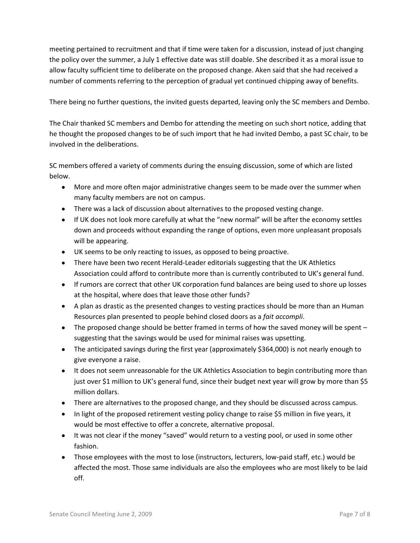meeting pertained to recruitment and that if time were taken for a discussion, instead of just changing the policy over the summer, a July 1 effective date was still doable. She described it as a moral issue to allow faculty sufficient time to deliberate on the proposed change. Aken said that she had received a number of comments referring to the perception of gradual yet continued chipping away of benefits.

There being no further questions, the invited guests departed, leaving only the SC members and Dembo.

The Chair thanked SC members and Dembo for attending the meeting on such short notice, adding that he thought the proposed changes to be of such import that he had invited Dembo, a past SC chair, to be involved in the deliberations.

SC members offered a variety of comments during the ensuing discussion, some of which are listed below.

- More and more often major administrative changes seem to be made over the summer when many faculty members are not on campus.
- There was a lack of discussion about alternatives to the proposed vesting change.
- If UK does not look more carefully at what the "new normal" will be after the economy settles down and proceeds without expanding the range of options, even more unpleasant proposals will be appearing.
- UK seems to be only reacting to issues, as opposed to being proactive.
- There have been two recent Herald-Leader editorials suggesting that the UK Athletics Association could afford to contribute more than is currently contributed to UK's general fund.
- If rumors are correct that other UK corporation fund balances are being used to shore up losses at the hospital, where does that leave those other funds?
- A plan as drastic as the presented changes to vesting practices should be more than an Human Resources plan presented to people behind closed doors as a *fait accompli*.
- The proposed change should be better framed in terms of how the saved money will be spent suggesting that the savings would be used for minimal raises was upsetting.
- The anticipated savings during the first year (approximately \$364,000) is not nearly enough to give everyone a raise.
- It does not seem unreasonable for the UK Athletics Association to begin contributing more than just over \$1 million to UK's general fund, since their budget next year will grow by more than \$5 million dollars.
- There are alternatives to the proposed change, and they should be discussed across campus.
- In light of the proposed retirement vesting policy change to raise \$5 million in five years, it would be most effective to offer a concrete, alternative proposal.
- It was not clear if the money "saved" would return to a vesting pool, or used in some other fashion.
- Those employees with the most to lose (instructors, lecturers, low-paid staff, etc.) would be affected the most. Those same individuals are also the employees who are most likely to be laid off.